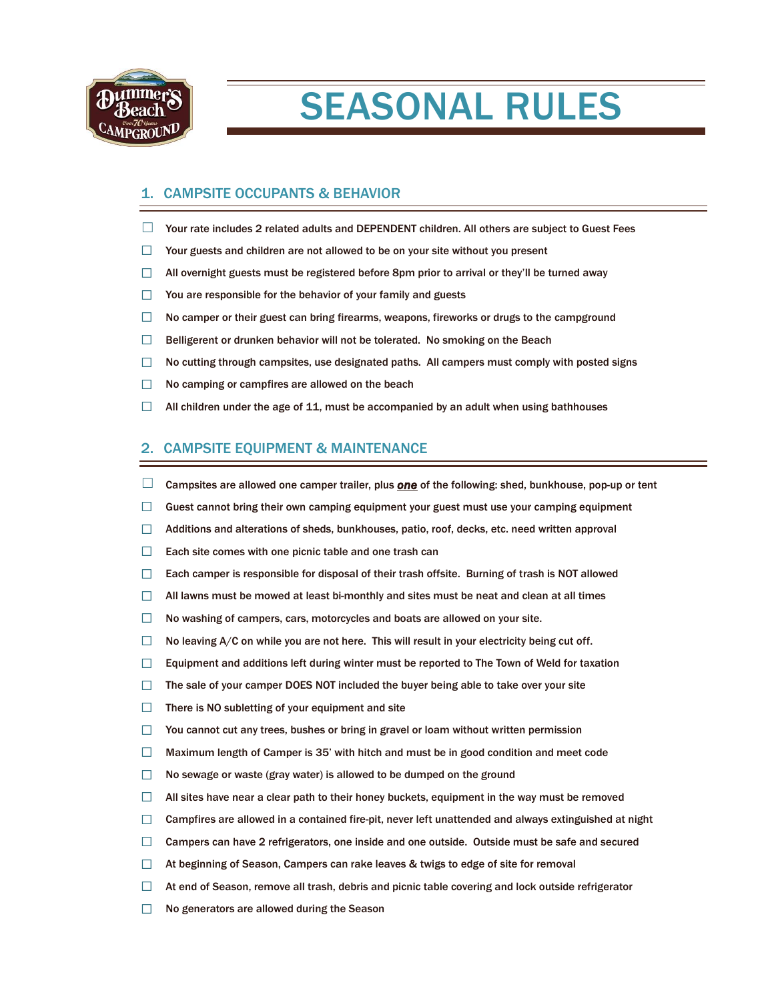

# SEASONAL RULES

# 1. CAMPSITE OCCUPANTS & BEHAVIOR

- ☐ Your rate includes 2 related adults and DEPENDENT children. All others are subject to Guest Fees
- $\Box$  Your guests and children are not allowed to be on your site without you present
- $\Box$  All overnight guests must be registered before 8pm prior to arrival or they'll be turned away
- ☐ You are responsible for the behavior of your family and guests
- $\Box$  No camper or their guest can bring firearms, weapons, fireworks or drugs to the campground
- $\Box$  Belligerent or drunken behavior will not be tolerated. No smoking on the Beach
- $\Box$  No cutting through campsites, use designated paths. All campers must comply with posted signs
- $\Box$  No camping or campfires are allowed on the beach
- $\Box$  All children under the age of 11, must be accompanied by an adult when using bathhouses

## 2. CAMPSITE EQUIPMENT & MAINTENANCE

- □ Campsites are allowed one camper trailer, plus **one** of the following: shed, bunkhouse, pop-up or tent
- $\Box$  Guest cannot bring their own camping equipment your guest must use your camping equipment
- $\Box$  Additions and alterations of sheds, bunkhouses, patio, roof, decks, etc. need written approval
- $\Box$  Each site comes with one picnic table and one trash can
- $\Box$  Each camper is responsible for disposal of their trash offsite. Burning of trash is NOT allowed
- $\Box$  All lawns must be mowed at least bi-monthly and sites must be neat and clean at all times
- ☐ No washing of campers, cars, motorcycles and boats are allowed on your site.
- $\Box$  No leaving A/C on while you are not here. This will result in your electricity being cut off.
- $\Box$  Equipment and additions left during winter must be reported to The Town of Weld for taxation
- ☐ The sale of your camper DOES NOT included the buyer being able to take over your site
- □ There is NO subletting of your equipment and site
- $\Box$  You cannot cut any trees, bushes or bring in gravel or loam without written permission
- $\Box$  Maximum length of Camper is 35' with hitch and must be in good condition and meet code
- $\Box$  No sewage or waste (gray water) is allowed to be dumped on the ground
- $\Box$  All sites have near a clear path to their honey buckets, equipment in the way must be removed
- $\Box$  Campfires are allowed in a contained fire-pit, never left unattended and always extinguished at night
- □ Campers can have 2 refrigerators, one inside and one outside. Outside must be safe and secured
- $\Box$  At beginning of Season, Campers can rake leaves & twigs to edge of site for removal
- $\Box$  At end of Season, remove all trash, debris and picnic table covering and lock outside refrigerator
- ☐ No generators are allowed during the Season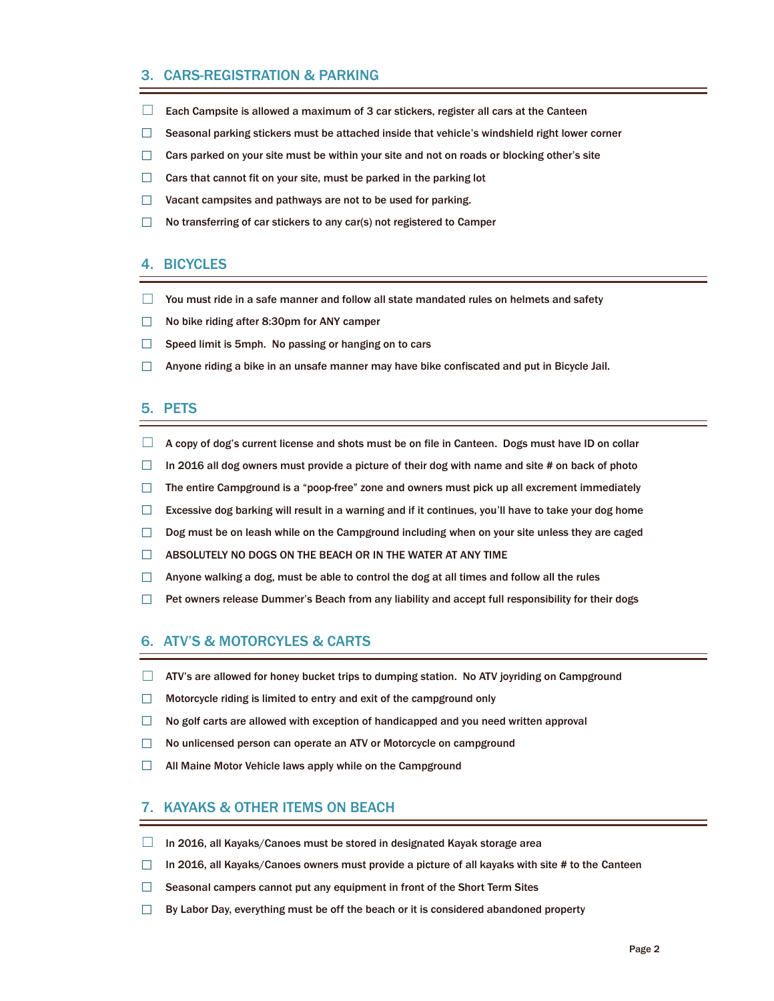# 3. CARS-REGISTRATION & PARKING

- $\Box$  Each Campsite is allowed a maximum of 3 car stickers, register all cars at the Canteen
- $\Box$  Seasonal parking stickers must be attached inside that vehicle's windshield right lower corner
- $\Box$  Cars parked on your site must be within your site and not on roads or blocking other's site
- $\Box$  Cars that cannot fit on your site, must be parked in the parking lot
- ☐ Vacant campsites and pathways are not to be used for parking.
- ☐ No transferring of car stickers to any car(s) not registered to Camper

## 4. BICYCLES

- ☐ You must ride in a safe manner and follow all state mandated rules on helmets and safety
- ☐ No bike riding after 8:30pm for ANY camper
- $\Box$  Speed limit is 5mph. No passing or hanging on to cars
- $\Box$  Anyone riding a bike in an unsafe manner may have bike confiscated and put in Bicycle Jail.

#### 5. PETS

- $\Box$  A copy of dog's current license and shots must be on file in Canteen. Dogs must have ID on collar
- $\Box$  In 2016 all dog owners must provide a picture of their dog with name and site # on back of photo
- $\Box$  The entire Campground is a "poop-free" zone and owners must pick up all excrement immediately
- $\Box$  Excessive dog barking will result in a warning and if it continues, you'll have to take your dog home
- □ Dog must be on leash while on the Campground including when on your site unless they are caged
- □ ABSOLUTELY NO DOGS ON THE BEACH OR IN THE WATER AT ANY TIME
- $\Box$  Anyone walking a dog, must be able to control the dog at all times and follow all the rules
- □ Pet owners release Dummer's Beach from any liability and accept full responsibility for their dogs

# 6. ATV'S & MOTORCYLES & CARTS

- $\Box$  ATV's are allowed for honey bucket trips to dumping station. No ATV joyriding on Campground
- ☐ Motorcycle riding is limited to entry and exit of the campground only
- $\Box$  No golf carts are allowed with exception of handicapped and you need written approval
- □ No unlicensed person can operate an ATV or Motorcycle on campground
- □ All Maine Motor Vehicle laws apply while on the Campground

#### 7. KAYAKS & OTHER ITEMS ON BEACH

- $\Box$  In 2016, all Kayaks/Canoes must be stored in designated Kayak storage area
- $\Box$  In 2016, all Kayaks/Canoes owners must provide a picture of all kayaks with site # to the Canteen
- $\Box$  Seasonal campers cannot put any equipment in front of the Short Term Sites
- $\Box$  By Labor Day, everything must be off the beach or it is considered abandoned property